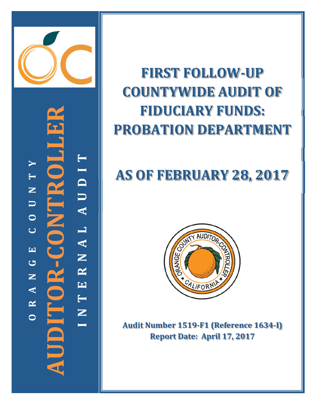

**AUDITOR‐CONTROLLER ITOROLI N T E R N A L A U D I T** AUDIT  $\blacktriangleright$  **R A N G E C O U N T Y**  $\blacksquare$  $\mathbf{Z}$  $\Box$  $\bullet$ RNAL  $\overline{C}$  $\overline{\mathbf{H}}$ JDITOR- $\bullet$  $\mathbf{Z}$ E  $\blacktriangleleft$ INT.  $\mathbf{\underline{\sim}}$ **O**

# **FIRST FOLLOW ‐UP COUNTYWIDE AUDIT OF FIDUCIARY FUNDS: PROBATION DEPARTMENT**

# **AS OF FEBRUARY 28, 2017**



**Audit Number 1519 ‐F1 (Reference 1634 ‐I) Report Date: April 17, 2017**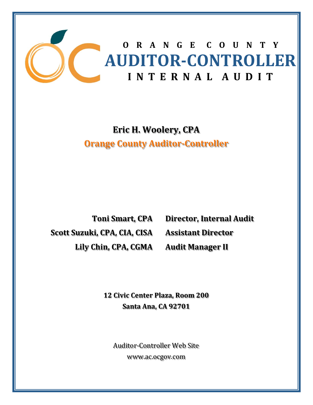

# **Eric H. Woolery, CPA Orange County Auditor‐Controller**

**Toni Smart, CPA Scott Suzuki, CPA, CIA, CISA Lily Chin, CPA, CGMA**

**Director, Internal Audit Assistant Director Audit Manager II**

**12 Civic Center Plaza, Room 200 Santa Ana, CA 92701**

Auditor-Controller Web Site www.ac.ocgov.com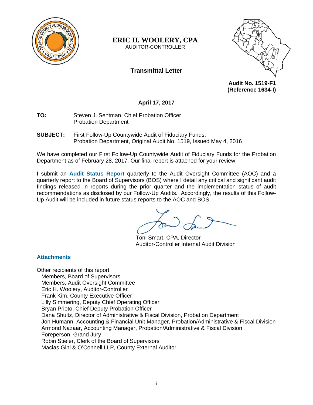

#### **ERIC H. WOOLERY, CPA**  AUDITOR-CONTROLLER

# **Transmittal Letter**



**Audit No. 1519-F1 (Reference 1634-I)** 

# **April 17, 2017**

**TO:** Steven J. Sentman, Chief Probation Officer Probation Department

**SUBJECT:** First Follow-Up Countywide Audit of Fiduciary Funds: Probation Department, Original Audit No. 1519, Issued May 4, 2016

We have completed our First Follow-Up Countywide Audit of Fiduciary Funds for the Probation Department as of February 28, 2017. Our final report is attached for your review.

I submit an **Audit Status Report** quarterly to the Audit Oversight Committee (AOC) and a quarterly report to the Board of Supervisors (BOS) where I detail any critical and significant audit findings released in reports during the prior quarter and the implementation status of audit recommendations as disclosed by our Follow-Up Audits. Accordingly, the results of this Follow-Up Audit will be included in future status reports to the AOC and BOS.

Toni Smart, CPA, Director Auditor-Controller Internal Audit Division

#### **Attachments**

Other recipients of this report: Members, Board of Supervisors Members, Audit Oversight Committee Eric H. Woolery, Auditor-Controller Frank Kim, County Executive Officer Lilly Simmering, Deputy Chief Operating Officer Bryan Prieto, Chief Deputy Probation Officer Dana Shultz, Director of Administrative & Fiscal Division, Probation Department Jon Humann, Accounting & Financial Unit Manager, Probation/Administrative & Fiscal Division Armond Nazaar, Accounting Manager, Probation/Administrative & Fiscal Division Foreperson, Grand Jury Robin Stieler, Clerk of the Board of Supervisors Macias Gini & O'Connell LLP, County External Auditor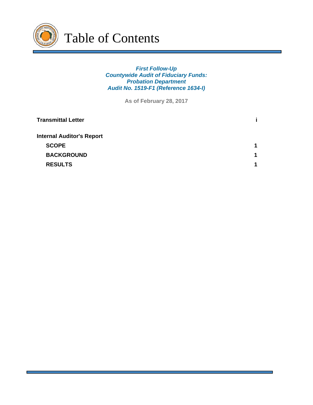

### *First Follow-Up Countywide Audit of Fiduciary Funds: Probation Department Audit No. 1519-F1 (Reference 1634-I)*

**As of February 28, 2017**

| <b>Transmittal Letter</b>        |   |
|----------------------------------|---|
| <b>Internal Auditor's Report</b> |   |
| <b>SCOPE</b>                     | 1 |
| <b>BACKGROUND</b>                | 1 |
| <b>RESULTS</b>                   | 4 |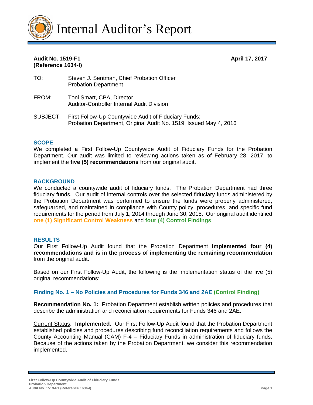

### **Audit No. 1519-F1 April 17, 2017 (Reference 1634-I)**

- TO: Steven J. Sentman, Chief Probation Officer Probation Department
- FROM: Toni Smart, CPA, Director Auditor-Controller Internal Audit Division
- SUBJECT: First Follow-Up Countywide Audit of Fiduciary Funds: Probation Department, Original Audit No. 1519, Issued May 4, 2016

#### **SCOPE**

We completed a First Follow-Up Countywide Audit of Fiduciary Funds for the Probation Department. Our audit was limited to reviewing actions taken as of February 28, 2017, to implement the **five (5) recommendations** from our original audit.

#### **BACKGROUND**

We conducted a countywide audit of fiduciary funds. The Probation Department had three fiduciary funds. Our audit of internal controls over the selected fiduciary funds administered by the Probation Department was performed to ensure the funds were properly administered, safeguarded, and maintained in compliance with County policy, procedures, and specific fund requirements for the period from July 1, 2014 through June 30, 2015. Our original audit identified **one (1) Significant Control Weakness** and **four (4) Control Findings**.

#### **RESULTS**

Our First Follow-Up Audit found that the Probation Department **implemented four (4) recommendations and is in the process of implementing the remaining recommendation** from the original audit.

Based on our First Follow-Up Audit, the following is the implementation status of the five (5) original recommendations:

#### **Finding No. 1 – No Policies and Procedures for Funds 346 and 2AE (Control Finding)**

**Recommendation No. 1:** Probation Department establish written policies and procedures that describe the administration and reconciliation requirements for Funds 346 and 2AE.

Current Status: **Implemented.** Our First Follow-Up Audit found that the Probation Department established policies and procedures describing fund reconciliation requirements and follows the County Accounting Manual (CAM) F-4 – Fiduciary Funds in administration of fiduciary funds. Because of the actions taken by the Probation Department, we consider this recommendation implemented.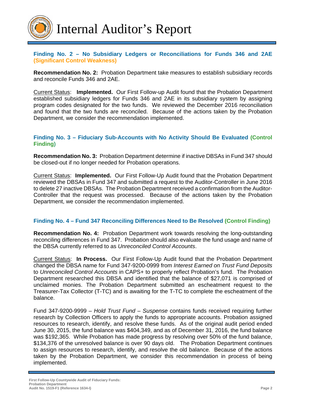

#### **Finding No. 2 – No Subsidiary Ledgers or Reconciliations for Funds 346 and 2AE (Significant Control Weakness)**

**Recommendation No. 2:** Probation Department take measures to establish subsidiary records and reconcile Funds 346 and 2AE.

Current Status: **Implemented.** Our First Follow-up Audit found that the Probation Department established subsidiary ledgers for Funds 346 and 2AE in its subsidiary system by assigning program codes designated for the two funds. We reviewed the December 2016 reconciliation and found that the two funds are reconciled. Because of the actions taken by the Probation Department, we consider the recommendation implemented.

#### **Finding No. 3 – Fiduciary Sub-Accounts with No Activity Should Be Evaluated (Control Finding)**

**Recommendation No. 3:** Probation Department determine if inactive DBSAs in Fund 347 should be closed-out if no longer needed for Probation operations.

Current Status: **Implemented.** Our First Follow-Up Audit found that the Probation Department reviewed the DBSAs in Fund 347 and submitted a request to the Auditor-Controller in June 2016 to delete 27 inactive DBSAs. The Probation Department received a confirmation from the Auditor-Controller that the request was processed. Because of the actions taken by the Probation Department, we consider the recommendation implemented.

## **Finding No. 4 – Fund 347 Reconciling Differences Need to Be Resolved (Control Finding)**

**Recommendation No. 4:** Probation Department work towards resolving the long-outstanding reconciling differences in Fund 347. Probation should also evaluate the fund usage and name of the DBSA currently referred to as *Unreconciled Control Accounts*.

Current Status: **In Process.** Our First Follow-Up Audit found that the Probation Department changed the DBSA name for Fund 347-9200-0999 from *Interest Earned on Trust Fund Deposits* to *Unreconciled Control Accounts* in CAPS+ to properly reflect Probation's fund. The Probation Department researched this DBSA and identified that the balance of \$27,071 is comprised of unclaimed monies. The Probation Department submitted an escheatment request to the Treasurer-Tax Collector (T-TC) and is awaiting for the T-TC to complete the escheatment of the balance.

Fund 347-9200-9999 – *Hold Trust Fund – Suspense* contains funds received requiring further research by Collection Officers to apply the funds to appropriate accounts. Probation assigned resources to research, identify, and resolve these funds. As of the original audit period ended June 30, 2015, the fund balance was \$404,349, and as of December 31, 2016, the fund balance was \$192,365. While Probation has made progress by resolving over 50% of the fund balance, \$134,376 of the unresolved balance is over 90 days old. The Probation Department continues to assign resources to research, identify, and resolve the old balance. Because of the actions taken by the Probation Department, we consider this recommendation in process of being implemented.